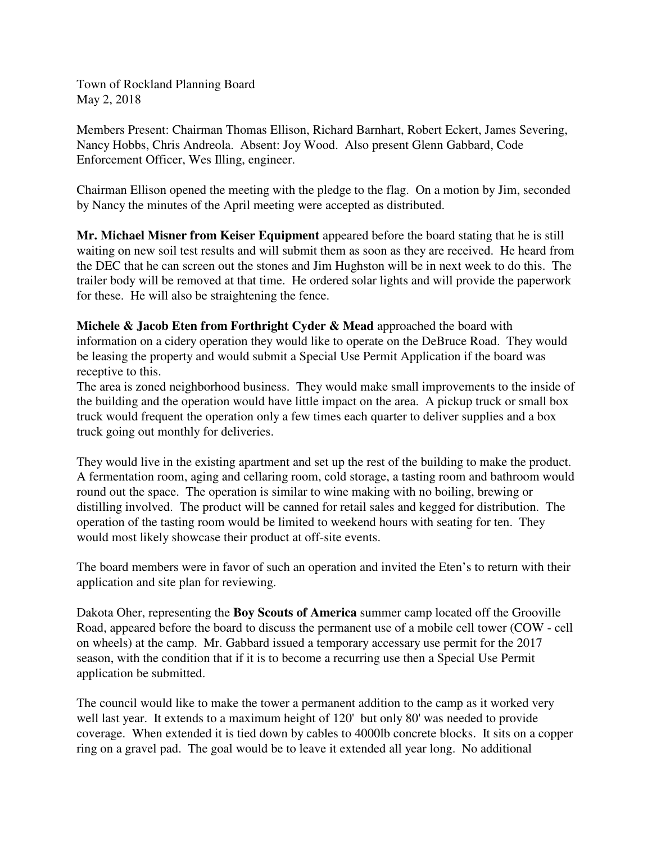Town of Rockland Planning Board May 2, 2018

Members Present: Chairman Thomas Ellison, Richard Barnhart, Robert Eckert, James Severing, Nancy Hobbs, Chris Andreola. Absent: Joy Wood. Also present Glenn Gabbard, Code Enforcement Officer, Wes Illing, engineer.

Chairman Ellison opened the meeting with the pledge to the flag. On a motion by Jim, seconded by Nancy the minutes of the April meeting were accepted as distributed.

**Mr. Michael Misner from Keiser Equipment** appeared before the board stating that he is still waiting on new soil test results and will submit them as soon as they are received. He heard from the DEC that he can screen out the stones and Jim Hughston will be in next week to do this. The trailer body will be removed at that time. He ordered solar lights and will provide the paperwork for these. He will also be straightening the fence.

**Michele & Jacob Eten from Forthright Cyder & Mead** approached the board with information on a cidery operation they would like to operate on the DeBruce Road. They would be leasing the property and would submit a Special Use Permit Application if the board was receptive to this.

The area is zoned neighborhood business. They would make small improvements to the inside of the building and the operation would have little impact on the area. A pickup truck or small box truck would frequent the operation only a few times each quarter to deliver supplies and a box truck going out monthly for deliveries.

They would live in the existing apartment and set up the rest of the building to make the product. A fermentation room, aging and cellaring room, cold storage, a tasting room and bathroom would round out the space. The operation is similar to wine making with no boiling, brewing or distilling involved. The product will be canned for retail sales and kegged for distribution. The operation of the tasting room would be limited to weekend hours with seating for ten. They would most likely showcase their product at off-site events.

The board members were in favor of such an operation and invited the Eten's to return with their application and site plan for reviewing.

Dakota Oher, representing the **Boy Scouts of America** summer camp located off the Grooville Road, appeared before the board to discuss the permanent use of a mobile cell tower (COW - cell on wheels) at the camp. Mr. Gabbard issued a temporary accessary use permit for the 2017 season, with the condition that if it is to become a recurring use then a Special Use Permit application be submitted.

The council would like to make the tower a permanent addition to the camp as it worked very well last year. It extends to a maximum height of 120' but only 80' was needed to provide coverage. When extended it is tied down by cables to 4000lb concrete blocks. It sits on a copper ring on a gravel pad. The goal would be to leave it extended all year long. No additional